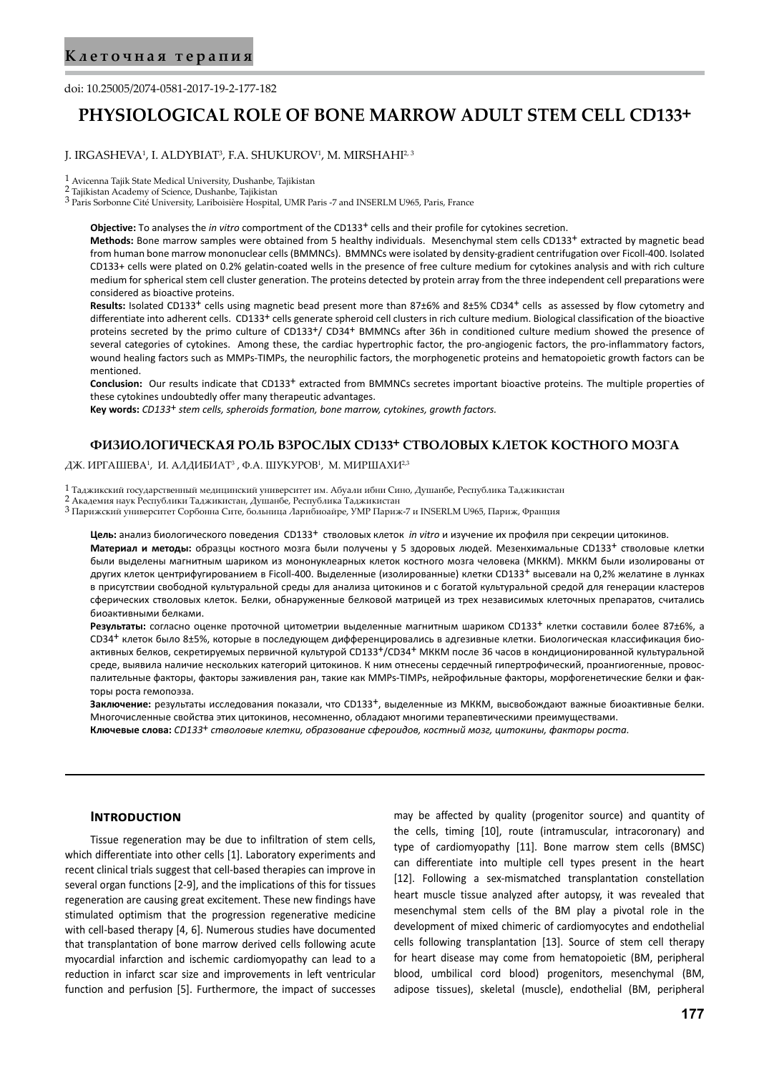#### doi: 10.25005/2074-0581-2017-19-2-177-182

# **PHYSIOLOGICAL ROLE OF BONE MARROW ADULT STEM CELL CD133+**

#### J. IRGASHEVA<sup>1</sup>, I. ALDYBIAT<sup>3</sup>, F.A. SHUKUROV<sup>1</sup>, M. MIRSHAHI<sup>2, 3</sup>

1 Avicenna Tajik State Medical University, Dushanbe, Tajikistan <sup>2</sup> Tajikistan Academy of Science, Dushanbe, Tajikistan 3 Paris Sorbonne Cité University, Lariboisière Hospital, UMR Paris -7 and INSERLM U965, Paris, France

**Objective:** Тo analyses the *in vitro* comportment of the CD133+ cells and their profile for cytokines secretion.

**Methods:** Bone marrow samples were obtained from 5 healthy individuals. Mesenchymal stem cells CD133+ extracted by magnetic bead from human bone marrow mononuclear cells (BMMNCs). BMMNCs were isolated by density-gradient centrifugation over Ficoll-400. Isolated CD133+ cells were plated on 0.2% gelatin-coated wells in the presence of free culture medium for cytokines analysis and with rich culture medium for spherical stem cell cluster generation. The proteins detected by protein array from the three independent cell preparations were considered as bioactive proteins.

**Results:** Isolated CD133+ cells using magnetic bead present more than 87±6% and 8±5% CD34+ cells as assessed by flow cytometry and differentiate into adherent cells. CD133+ cells generate spheroid cell clusters in rich culture medium. Biological classification of the bioactive proteins secreted by the primo culture of CD133+/ CD34+ BMMNCs after 36h in conditioned culture medium showed the presence of several categories of cytokines. Among these, the cardiac hypertrophic factor, the pro-angiogenic factors, the pro-inflammatory factors, wound healing factors such as MMPs-TIMPs, the neurophilic factors, the morphogenetic proteins and hematopoietic growth factors can be mentioned.

**Conclusion:** Our results indicate that CD133+ extracted from BMMNCs secretes important bioactive proteins. The multiple properties of these cytokines undoubtedly offer many therapeutic advantages.

**Key words:** *CD133*+ *stem cells, spheroids formation, bone marrow, cytokines, growth factors.*

### **ФИЗИОЛОГИЧЕСКАЯ РОЛЬ ВЗРОСЛЫХ CD133+ СТВОЛОВЫХ КЛЕТОК КОСТНОГО МОЗГА**

ДЖ. ИРГАШЕВА<sup>1</sup>, И. АЛДИБИАТ<sup>з</sup> , Ф.А. ШУКУРОВ<sup>1</sup>, М. МИРШАХИ<sup>2,3</sup>

<sup>1</sup> Таджикский государственный медицинский университет им. Абуали ибни Сино, Душанбе, Республика Таджикистан<br><sup>2</sup> Академия наук Республики Таджикистан, Душанбе, Республика Таджикистан<br><sup>3</sup> Парижский университет Сорбонна Сит

**Цель:** анализ биологического поведения CD133+ стволовых клеток *in vitro* и изучение их профиля при секреции цитокинов. **Материал и методы:** образцы костного мозга были получены у 5 здоровых людей. Мезенхимальные CD133+ стволовые клетки были выделены магнитным шариком из мононуклеарных клеток костного мозга человека (МККМ). МККМ были изолированы от других клеток центрифугированием в Ficoll-400. Выделенные (изолированные) клетки CD133+ высевали на 0,2% желатине в лунках в присутствии свободной культуральной среды для анализа цитокинов и с богатой культуральной средой для генерации кластеров сферических стволовых клеток. Белки, обнаруженные белковой матрицей из трех независимых клеточных препаратов, считались биоактивными белками.

**Результаты:** согласно оценке проточной цитометрии выделенные магнитным шариком CD133+ клетки составили более 87±6%, а CD34+ клеток было 8±5%, которые в последующем дифференцировались в адгезивные клетки. Биологическая классификация биоактивных белков, секретируемых первичной культурой CD133+/CD34+ МККМ после 36 часов в кондиционированной культуральной среде, выявила наличие нескольких категорий цитокинов. К ним отнесены сердечный гипертрофический, проангиогенные, провоспалительные факторы, факторы заживления ран, такие как MMPs-TIMPs, нейрофильные факторы, морфогенетические белки и факторы роста гемопоэза.

**Заключение:** результаты исследования показали, что CD133+, выделенные из МККМ, высвобождают важные биоактивные белки. Многочисленные свойства этих цитокинов, несомненно, обладают многими терапевтическими преимуществами.

**Ключевые слова:** *CD133*+ *стволовые клетки, образование сфероидов, костный мозг, цитокины, факторы роста.*

### **Introduction**

Tissue regeneration may be due to infiltration of stem cells, which differentiate into other cells [1]. Laboratory experiments and recent clinical trials suggest that cell-based therapies can improve in several organ functions [2-9], and the implications of this for tissues regeneration are causing great excitement. These new findings have stimulated optimism that the progression regenerative medicine with cell-based therapy [4, 6]. Numerous studies have documented that transplantation of bone marrow derived cells following acute myocardial infarction and ischemic cardiomyopathy can lead to a reduction in infarct scar size and improvements in left ventricular function and perfusion [5]. Furthermore, the impact of successes may be affected by quality (progenitor source) and quantity of the cells, timing [10], route (intramuscular, intracoronary) and type of cardiomyopathy [11]. Bone marrow stem cells (BMSC) can differentiate into multiple cell types present in the heart [12]. Following a sex-mismatched transplantation constellation heart muscle tissue analyzed after autopsy, it was revealed that mesenchymal stem cells of the BM play a pivotal role in the development of mixed chimeric of cardiomyocytes and endothelial cells following transplantation [13]. Source of stem cell therapy for heart disease may come from hematopoietic (BM, peripheral blood, umbilical cord blood) progenitors, mesenchymal (BM, adipose tissues), skeletal (muscle), endothelial (BM, peripheral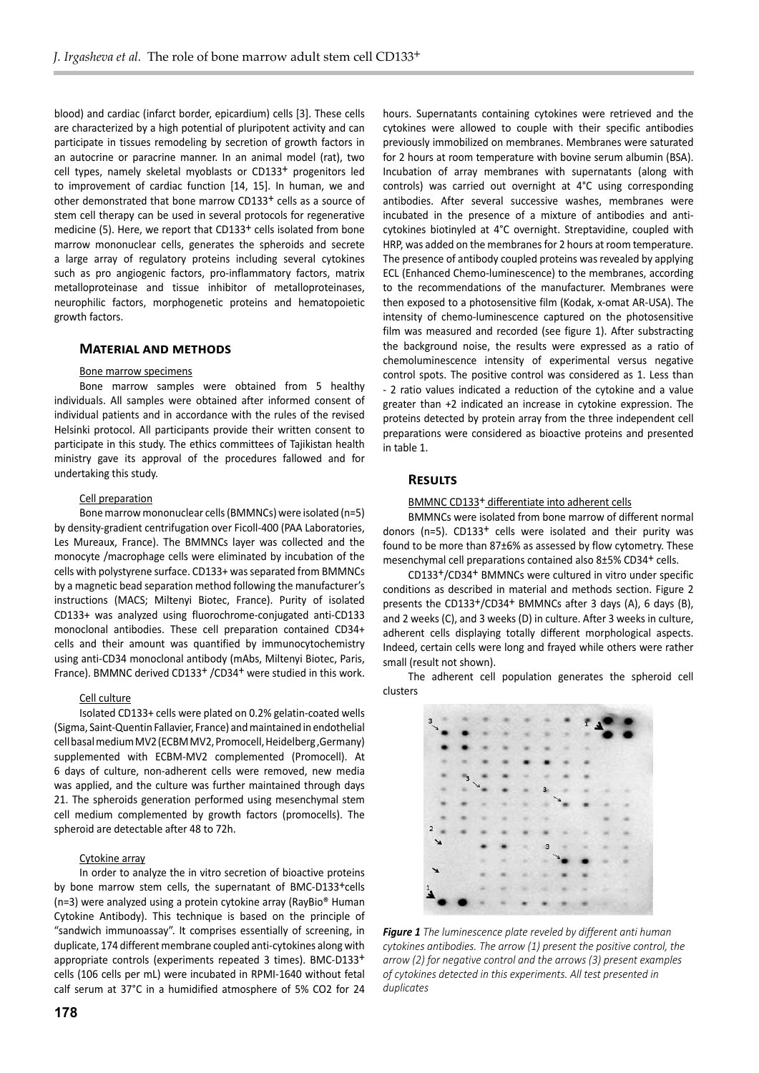blood) and cardiac (infarct border, epicardium) cells [3]. These cells are characterized by a high potential of pluripotent activity and can participate in tissues remodeling by secretion of growth factors in an autocrine or paracrine manner. In an animal model (rat), two cell types, namely skeletal myoblasts or CD133+ progenitors led to improvement of cardiac function [14, 15]. In human, we and other demonstrated that bone marrow CD133+ cells as a source of stem cell therapy can be used in several protocols for regenerative medicine (5). Here, we report that CD133+ cells isolated from bone marrow mononuclear cells, generates the spheroids and secrete a large array of regulatory proteins including several cytokines such as pro angiogenic factors, pro-inflammatory factors, matrix metalloproteinase and tissue inhibitor of metalloproteinases, neurophilic factors, morphogenetic proteins and hematopoietic growth factors.

#### **Material and methods**

#### Bone marrow specimens

Bone marrow samples were obtained from 5 healthy individuals. All samples were obtained after informed consent of individual patients and in accordance with the rules of the revised Helsinki protocol. All participants provide their written consent to participate in this study. The ethics committees of Tajikistan health ministry gave its approval of the procedures fallowed and for undertaking this study.

#### Cell preparation

Bone marrow mononuclear cells (BMMNCs) were isolated (n=5) by density-gradient centrifugation over Ficoll-400 (PAA Laboratories, Les Mureaux, France). The BMMNCs layer was collected and the monocyte /macrophage cells were eliminated by incubation of the cells with polystyrene surface. CD133+ was separated from BMMNCs by a magnetic bead separation method following the manufacturer's instructions (MACS; Miltenyi Biotec, France). Purity of isolated CD133+ was analyzed using fluorochrome-conjugated anti-CD133 monoclonal antibodies. These cell preparation contained CD34+ cells and their amount was quantified by immunocytochemistry using anti-CD34 monoclonal antibody (mAbs, Miltenyi Biotec, Paris, France). BMMNC derived CD133+ /CD34+ were studied in this work.

### Cell culture

Isolated CD133+ cells were plated on 0.2% gelatin-coated wells (Sigma, Saint-Quentin Fallavier, France) and maintained in endothelial cell basal medium MV2 (ECBM MV2, Promocell, Heidelberg ,Germany) supplemented with ECBM-MV2 complemented (Promocell). At 6 days of culture, non-adherent cells were removed, new media was applied, and the culture was further maintained through days 21. The spheroids generation performed using mesenchymal stem cell medium complemented by growth factors (promocells). The spheroid are detectable after 48 to 72h.

#### Cytokine array

In order to analyze the in vitro secretion of bioactive proteins by bone marrow stem cells, the supernatant of BMC-D133<sup>+</sup>cells (n=3) were analyzed using a protein cytokine array (RayBio® Human Cytokine Antibody). This technique is based on the principle of "sandwich immunoassay". It comprises essentially of screening, in duplicate, 174 different membrane coupled anti-cytokines along with appropriate controls (experiments repeated 3 times). BMC-D133+ cells (106 cells per mL) were incubated in RPMI-1640 without fetal calf serum at 37°C in a humidified atmosphere of 5% CO2 for 24

hours. Supernatants containing cytokines were retrieved and the cytokines were allowed to couple with their specific antibodies previously immobilized on membranes. Membranes were saturated for 2 hours at room temperature with bovine serum albumin (BSA). Incubation of array membranes with supernatants (along with controls) was carried out overnight at 4°C using corresponding antibodies. After several successive washes, membranes were incubated in the presence of a mixture of antibodies and anticytokines biotinyled at 4°C overnight. Streptavidine, coupled with HRP, was added on the membranes for 2 hours at room temperature. The presence of antibody coupled proteins was revealed by applying ECL (Enhanced Chemo-luminescence) to the membranes, according to the recommendations of the manufacturer. Membranes were then exposed to a photosensitive film (Kodak, x-omat AR-USA). The intensity of chemo-luminescence captured on the photosensitive film was measured and recorded (see figure 1). After substracting the background noise, the results were expressed as a ratio of chemoluminescence intensity of experimental versus negative control spots. The positive control was considered as 1. Less than - 2 ratio values indicated a reduction of the cytokine and a value greater than +2 indicated an increase in cytokine expression. The proteins detected by protein array from the three independent cell preparations were considered as bioactive proteins and presented in table 1.

### **Results**

BMMNC CD133<sup>+</sup> differentiate into adherent cells

BMMNCs were isolated from bone marrow of different normal donors ( $n=5$ ). CD133<sup>+</sup> cells were isolated and their purity was found to be more than 87±6% as assessed by flow cytometry. These mesenchymal cell preparations contained also 8±5% CD34+ cells.

CD133+/CD34+ BMMNCs were cultured in vitro under specific conditions as described in material and methods section. Figure 2 presents the CD133+/CD34+ BMMNCs after 3 days (A), 6 days (B), and 2 weeks (C), and 3 weeks (D) in culture. After 3 weeks in culture, adherent cells displaying totally different morphological aspects. Indeed, certain cells were long and frayed while others were rather small (result not shown).

The adherent cell population generates the spheroid cell clusters



*Figure 1 The luminescence plate reveled by different anti human cytokines antibodies. The arrow (1) present the positive control, the arrow (2) for negative control and the arrows (3) present examples of cytokines detected in this experiments. All test presented in duplicates*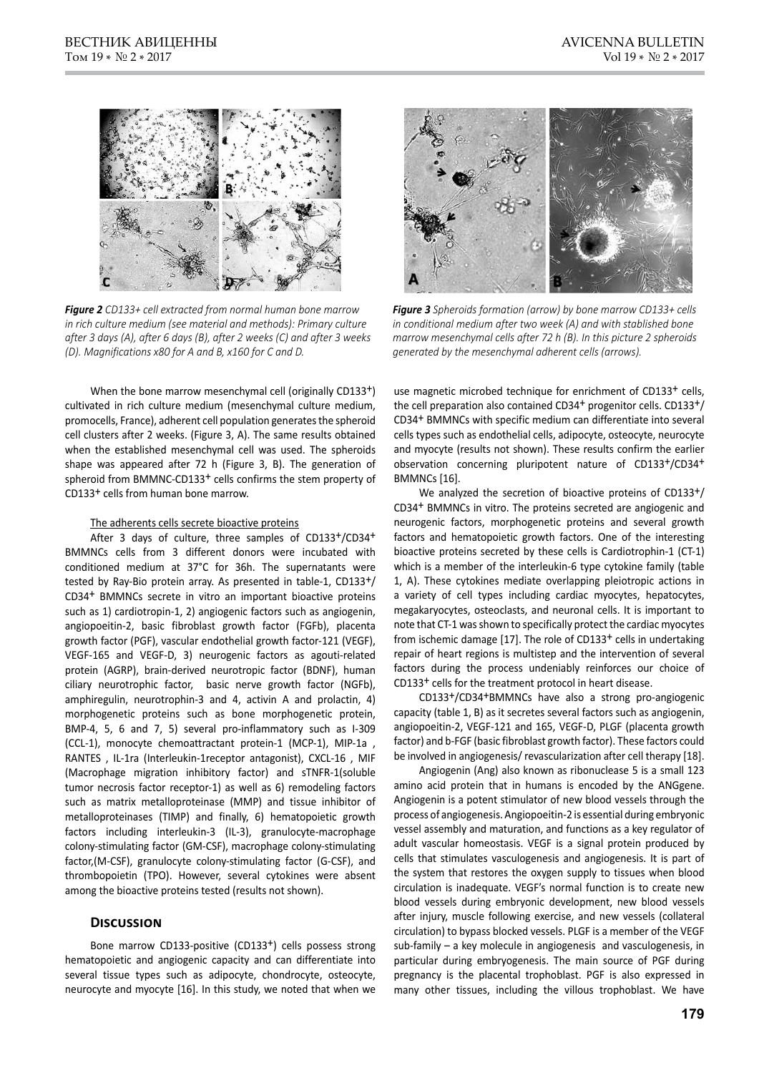

*Figure 2 CD133+ cell extracted from normal human bone marrow in rich culture medium (see material and methods): Primary culture after 3 days (A), after 6 days (B), after 2 weeks (C) and after 3 weeks (D). Magnifications x80 for A and B, x160 for C and D.*

When the bone marrow mesenchymal cell (originally CD133+) cultivated in rich culture medium (mesenchymal culture medium, promocells, France), adherent cell population generates the spheroid cell clusters after 2 weeks. (Figure 3, A). The same results obtained when the established mesenchymal cell was used. The spheroids shape was appeared after 72 h (Figure 3, B). The generation of spheroid from BMMNC-CD133<sup>+</sup> cells confirms the stem property of CD133+ cells from human bone marrow.

### The adherents cells secrete bioactive proteins

After 3 days of culture, three samples of CD133+/CD34+ BMMNCs cells from 3 different donors were incubated with conditioned medium at 37°C for 36h. The supernatants were tested by Ray-Bio protein array. As presented in table-1, CD133+/ CD34+ BMMNCs secrete in vitro an important bioactive proteins such as 1) cardiotropin-1, 2) angiogenic factors such as angiogenin, angiopoeitin-2, basic fibroblast growth factor (FGFb), placenta growth factor (PGF), vascular endothelial growth factor-121 (VEGF), VEGF-165 and VEGF-D, 3) neurogenic factors as agouti-related protein (AGRP), brain-derived neurotropic factor (BDNF), human ciliary neurotrophic factor, basic nerve growth factor (NGFb), amphiregulin, neurotrophin-3 and 4, activin A and prolactin, 4) morphogenetic proteins such as bone morphogenetic protein, BMP-4, 5, 6 and 7, 5) several pro-inflammatory such as I-309 (CCL-1), monocyte chemoattractant protein-1 (MCP-1), MIP-1a , RANTES , IL-1ra (Interleukin-1receptor antagonist), CXCL-16 , MIF (Macrophage migration inhibitory factor) and sTNFR-1(soluble tumor necrosis factor receptor-1) as well as 6) remodeling factors such as matrix metalloproteinase (MMP) and tissue inhibitor of metalloproteinases (TIMP) and finally, 6) hematopoietic growth factors including interleukin-3 (IL-3), granulocyte-macrophage colony-stimulating factor (GM-CSF), macrophage colony-stimulating factor,(M-CSF), granulocyte colony-stimulating factor (G-CSF), and thrombopoietin (TPO). However, several cytokines were absent among the bioactive proteins tested (results not shown).

### **Discussion**

Bone marrow CD133-positive (CD133+) cells possess strong hematopoietic and angiogenic capacity and can differentiate into several tissue types such as adipocyte, chondrocyte, osteocyte, neurocyte and myocyte [16]. In this study, we noted that when we



*Figure 3 Spheroids formation (arrow) by bone marrow CD133+ cells in conditional medium after two week (A) and with stablished bone marrow mesenchymal cells after 72 h (B). In this picture 2 spheroids generated by the mesenchymal adherent cells (arrows).* 

use magnetic microbed technique for enrichment of CD133+ cells, the cell preparation also contained CD34+ progenitor cells. CD133+/ CD34+ BMMNCs with specific medium can differentiate into several cells types such as endothelial cells, adipocyte, osteocyte, neurocyte and myocyte (results not shown). These results confirm the earlier observation concerning pluripotent nature of CD133+/CD34+ BMMNCs [16].

We analyzed the secretion of bioactive proteins of CD133<sup>+</sup>/ CD34+ BMMNCs in vitro. The proteins secreted are angiogenic and neurogenic factors, morphogenetic proteins and several growth factors and hematopoietic growth factors. One of the interesting bioactive proteins secreted by these cells is Cardiotrophin-1 (CT-1) which is a member of the interleukin-6 type cytokine family (table 1, A). These cytokines mediate overlapping pleiotropic actions in a variety of cell types including cardiac myocytes, hepatocytes, megakaryocytes, osteoclasts, and neuronal cells. It is important to note that CT-1 was shown to specifically protect the cardiac myocytes from ischemic damage [17]. The role of CD133+ cells in undertaking repair of heart regions is multistep and the intervention of several factors during the process undeniably reinforces our choice of CD133+ cells for the treatment protocol in heart disease.

CD133+/CD34+BMMNCs have also a strong pro-angiogenic capacity (table 1, B) as it secretes several factors such as angiogenin, angiopoeitin-2, VEGF-121 and 165, VEGF-D, PLGF (placenta growth factor) and b-FGF (basic fibroblast growth factor). These factors could be involved in angiogenesis/ revascularization after cell therapy [18].

Angiogenin (Ang) also known as ribonuclease 5 is a small 123 amino acid protein that in humans is encoded by the ANGgene. Angiogenin is a potent stimulator of new blood vessels through the process of angiogenesis. Angiopoeitin-2 is essential during embryonic vessel assembly and maturation, and functions as a key regulator of adult vascular homeostasis. VEGF is a signal protein produced by cells that stimulates vasculogenesis and angiogenesis. It is part of the system that restores the oxygen supply to tissues when blood circulation is inadequate. VEGF's normal function is to create new blood vessels during embryonic development, new blood vessels after injury, muscle following exercise, and new vessels (collateral circulation) to bypass blocked vessels. PLGF is a member of the VEGF sub-family – a key molecule in angiogenesis and vasculogenesis, in particular during embryogenesis. The main source of PGF during pregnancy is the placental trophoblast. PGF is also expressed in many other tissues, including the villous trophoblast. We have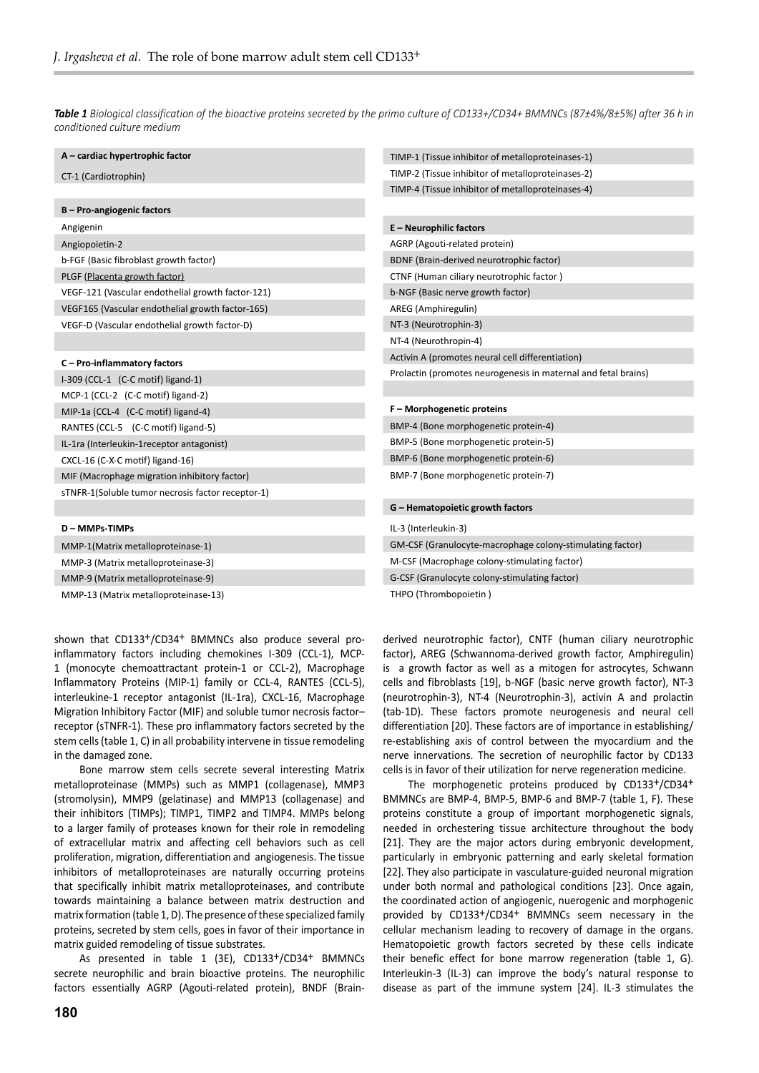*Table 1 Biological classification of the bioactive proteins secreted by the primo culture of CD133+/CD34+ BMMNCs (87±4%/8±5%) after 36 h in conditioned culture medium*

| A - cardiac hypertrophic factor |  |  |
|---------------------------------|--|--|
|---------------------------------|--|--|

CT-1 (Cardiotrophin)

#### **B – Pro-angiogenic factors**

| Angigenin |  |
|-----------|--|
|           |  |

| Angiopoietin-2                                    |
|---------------------------------------------------|
| b-FGF (Basic fibroblast growth factor)            |
| PLGF (Placenta growth factor)                     |
| VEGF-121 (Vascular endothelial growth factor-121) |
| VEGF165 (Vascular endothelial growth factor-165)  |
| VEGF-D (Vascular endothelial growth factor-D)     |

| C - Pro-inflammatory factors                      |
|---------------------------------------------------|
| I-309 (CCL-1 (C-C motif) ligand-1)                |
| MCP-1 (CCL-2 (C-C motif) ligand-2)                |
| MIP-1a (CCL-4 (C-C motif) ligand-4)               |
| RANTES (CCL-5 (C-C motif) ligand-5)               |
| IL-1ra (Interleukin-1receptor antagonist)         |
| CXCL-16 (C-X-C motif) ligand-16)                  |
| MIF (Macrophage migration inhibitory factor)      |
| sTNFR-1(Soluble tumor necrosis factor receptor-1) |
|                                                   |
| <b>D-MMPs-TIMPs</b>                               |

| MMP-1(Matrix metalloproteinase-1)    | GM-CSF (Granulocyte-macropha    |
|--------------------------------------|---------------------------------|
| MMP-3 (Matrix metalloproteinase-3)   | M-CSF (Macrophage colony-stime  |
| MMP-9 (Matrix metalloproteinase-9)   | G-CSF (Granulocyte colony-stimu |
| MMP-13 (Matrix metalloproteinase-13) | THPO (Thrombopoietin)           |

shown that CD133+/CD34+ BMMNCs also produce several proinflammatory factors including chemokines I-309 (CCL-1), MCP-1 (monocyte chemoattractant protein-1 or CCL-2), Macrophage Inflammatory Proteins (MIP-1) family or CCL-4, RANTES (CCL-5), interleukine-1 receptor antagonist (IL-1ra), CXCL-16, Macrophage Migration Inhibitory Factor (MIF) and soluble tumor necrosis factor– receptor (sTNFR-1). These pro inflammatory factors secreted by the stem cells (table 1, C) in all probability intervene in tissue remodeling in the damaged zone.

Bone marrow stem cells secrete several interesting Matrix metalloproteinase (MMPs) such as MMP1 (collagenase), MMP3 (stromolysin), MMP9 (gelatinase) and MMP13 (collagenase) and their inhibitors (TIMPs); TIMP1, TIMP2 and TIMP4. MMPs belong to a larger family of proteases known for their role in remodeling of extracellular matrix and affecting cell behaviors such as cell proliferation, migration, differentiation and angiogenesis. The tissue inhibitors of metalloproteinases are naturally occurring proteins that specifically inhibit matrix metalloproteinases, and contribute towards maintaining a balance between matrix destruction and matrix formation (table 1, D). The presence of these specialized family proteins, secreted by stem cells, goes in favor of their importance in matrix guided remodeling of tissue substrates.

As presented in table 1 (3E), CD133+/CD34+ BMMNCs secrete neurophilic and brain bioactive proteins. The neurophilic factors essentially AGRP (Agouti-related protein), BNDF (Brain-

| TIMP-1 (Tissue inhibitor of metalloproteinases-1)              |
|----------------------------------------------------------------|
| TIMP-2 (Tissue inhibitor of metalloproteinases-2)              |
| TIMP-4 (Tissue inhibitor of metalloproteinases-4)              |
|                                                                |
| <b>E</b> – Neurophilic factors                                 |
| AGRP (Agouti-related protein)                                  |
| BDNF (Brain-derived neurotrophic factor)                       |
| CTNF (Human ciliary neurotrophic factor)                       |
| b-NGF (Basic nerve growth factor)                              |
| AREG (Amphiregulin)                                            |
| NT-3 (Neurotrophin-3)                                          |
| NT-4 (Neurothropin-4)                                          |
| Activin A (promotes neural cell differentiation)               |
| Prolactin (promotes neurogenesis in maternal and fetal brains) |
|                                                                |
| F - Morphogenetic proteins                                     |
| BMP-4 (Bone morphogenetic protein-4)                           |
| BMP-5 (Bone morphogenetic protein-5)                           |
| BMP-6 (Bone morphogenetic protein-6)                           |
| BMP-7 (Bone morphogenetic protein-7)                           |
| G - Hematopoietic growth factors                               |
| IL-3 (Interleukin-3)                                           |
| GM-CSF (Granulocyte-macrophage colony-stimulating factor)      |
| M-CSF (Macrophage colony-stimulating factor)                   |
| G-CSF (Granulocyte colony-stimulating factor)                  |
|                                                                |

derived neurotrophic factor), CNTF (human ciliary neurotrophic factor), AREG (Schwannoma-derived growth factor, Amphiregulin) is a growth factor as well as a mitogen for astrocytes, Schwann cells and fibroblasts [19], b-NGF (basic nerve growth factor), NT-3 (neurotrophin-3), NT-4 (Neurotrophin-3), activin A and prolactin (tab-1D). These factors promote neurogenesis and neural cell differentiation [20]. These factors are of importance in establishing/ re-establishing axis of control between the myocardium and the nerve innervations. The secretion of neurophilic factor by CD133 cells is in favor of their utilization for nerve regeneration medicine.

The morphogenetic proteins produced by CD133+/CD34+ BMMNCs are BMP-4, BMP-5, BMP-6 and BMP-7 (table 1, F). These proteins constitute a group of important morphogenetic signals, needed in orchestering tissue architecture throughout the body [21]. They are the major actors during embryonic development, particularly in embryonic patterning and early skeletal formation [22]. They also participate in vasculature-guided neuronal migration under both normal and pathological conditions [23]. Once again, the coordinated action of angiogenic, nuerogenic and morphogenic provided by CD133+/CD34+ BMMNCs seem necessary in the cellular mechanism leading to recovery of damage in the organs. Hematopoietic growth factors secreted by these cells indicate their benefic effect for bone marrow regeneration (table 1, G). Interleukin-3 (IL-3) can improve the body's natural response to disease as part of the immune system [24]. IL-3 stimulates the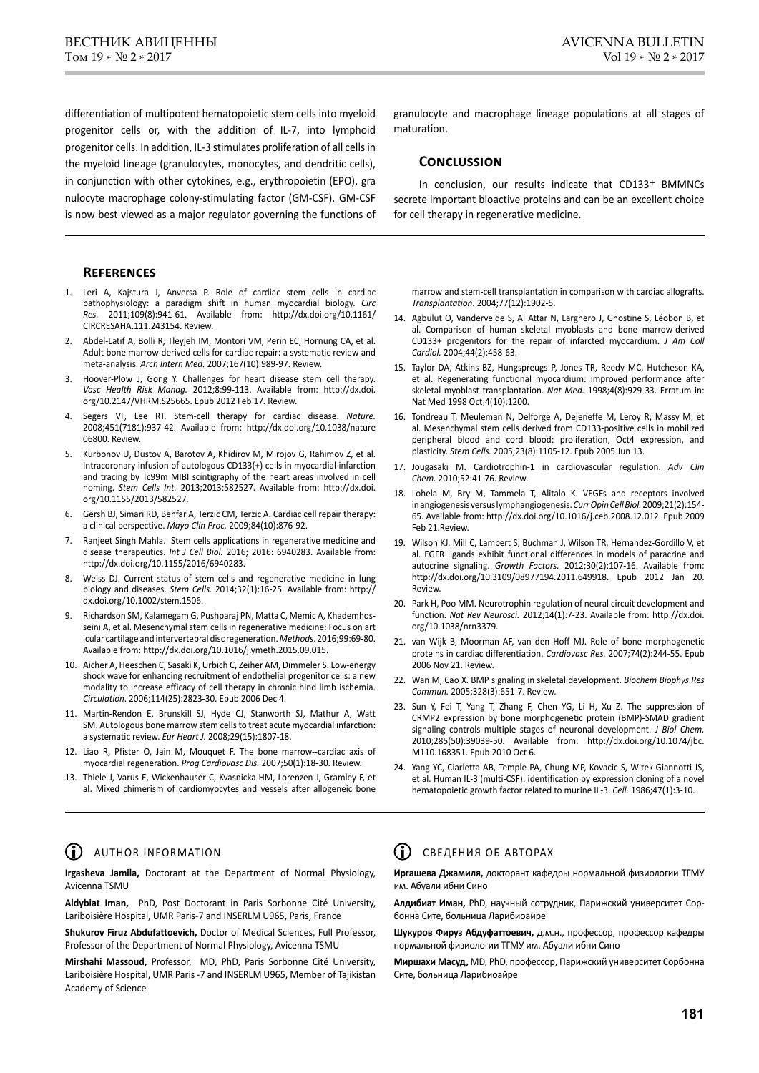differentiation of multipotent hematopoietic stem cells into myeloid progenitor cells or, with the addition of IL-7, into lymphoid progenitor cells. In addition, IL-3 stimulates proliferation of all cells in the myeloid lineage (granulocytes, monocytes, and dendritic cells), in conjunction with other cytokines, e.g., erythropoietin (EPO), gra nulocyte macrophage colony-stimulating factor (GM-CSF). GM-CSF is now best viewed as a major regulator governing the functions of granulocyte and macrophage lineage populations at all stages of maturation.

### **Conclussion**

In conclusion, our results indicate that CD133+ BMMNCs secrete important bioactive proteins and can be an excellent choice for cell therapy in regenerative medicine.

### **References**

- 1. Leri A, Kajstura J, Anversa P. Role of cardiac stem cells in cardiac pathophysiology: a paradigm shift in human myocardial biology. *Circ Res.* 2011;109(8):941-61. Available from: http://dx.doi.org/10.1161/ CIRCRESAHA.111.243154. Review.
- 2. Abdel-Latif A, Bolli R, Tleyjeh IM, Montori VM, Perin EC, Hornung CA, et al. Adult bone marrow-derived cells for cardiac repair: a systematic review and meta-analysis. *Arch Intern Med.* 2007;167(10):989-97. Review.
- Hoover-Plow J, Gong Y. Challenges for heart disease stem cell therapy. *Vasc Health Risk Manag.* 2012;8:99-113. Available from: http://dx.doi. org/10.2147/VHRM.S25665. Epub 2012 Feb 17. Review.
- 4. Segers VF, Lee RT. Stem-cell therapy for cardiac disease. *Nature.*  2008;451(7181):937-42. Available from: http://dx.doi.org/10.1038/nature 06800. Review.
- 5. Kurbonov U, Dustov A, Barotov A, Khidirov M, Mirojov G, Rahimov Z, et al. Intracoronary infusion of autologous CD133(+) cells in myocardial infarction and tracing by Tc99m MIBI scintigraphy of the heart areas involved in cell homing. *Stem Cells Int.* 2013;2013:582527. Available from: http://dx.doi. org/10.1155/2013/582527.
- 6. Gersh BJ, Simari RD, Behfar A, Terzic CM, Terzic A. Cardiac cell repair therapy: a clinical perspective. *Mayo Clin Proc.* 2009;84(10):876-92.
- 7. Ranjeet Singh Mahla. Stem cells applications in regenerative medicine and disease therapeutics. *Int J Cell Biol.* 2016; 2016: 6940283. Available from: http://dx.doi.org/10.1155/2016/6940283.
- 8. Weiss DJ. Current status of stem cells and regenerative medicine in lung biology and diseases. *Stem Cells.* 2014;32(1):16-25. Available from: http:// dx.doi.org/10.1002/stem.1506.
- 9. Richardson SM, Kalamegam G, Pushparaj PN, Matta C, Memic A, Khademhosseini A, et al. Mesenchymal stem cells in regenerative medicine: Focus on art icular cartilage and intervertebral disc regeneration. *Methods*. 2016;99:69-80. Available from: http://dx.doi.org/10.1016/j.ymeth.2015.09.015.
- 10. Aicher A, Heeschen C, Sasaki K, Urbich C, Zeiher AM, Dimmeler S. Low-energy shock wave for enhancing recruitment of endothelial progenitor cells: a new modality to increase efficacy of cell therapy in chronic hind limb ischemia. *Circulation*. 2006;114(25):2823-30. Epub 2006 Dec 4.
- 11. Martin-Rendon E, Brunskill SJ, Hyde CJ, Stanworth SJ, Mathur A, Watt SM. Autologous bone marrow stem cells to treat acute myocardial infarction: a systematic review. *Eur Heart J.* 2008;29(15):1807-18.
- 12. Liao R, Pfister O, Jain M, Mouquet F. The bone marrow--cardiac axis of myocardial regeneration. *Prog Cardiovasc Dis.* 2007;50(1):18-30. Review.
- 13. Thiele J, Varus E, Wickenhauser C, Kvasnicka HM, Lorenzen J, Gramley F, et al. Mixed chimerism of cardiomyocytes and vessels after allogeneic bone

marrow and stem-cell transplantation in comparison with cardiac allografts. *Transplantation*. 2004;77(12):1902-5.

- 14. Agbulut O, Vandervelde S, Al Attar N, Larghero J, Ghostine S, Léobon B, et al. Comparison of human skeletal myoblasts and bone marrow-derived CD133+ progenitors for the repair of infarcted myocardium. *J Am Coll Cardiol.* 2004;44(2):458-63.
- 15. Taylor DA, Atkins BZ, Hungspreugs P, Jones TR, Reedy MC, Hutcheson KA, et al. Regenerating functional myocardium: improved performance after skeletal myoblast transplantation. *Nat Med.* 1998;4(8):929-33. Erratum in: Nat Med 1998 Oct;4(10):1200.
- 16. Tondreau T, Meuleman N, Delforge A, Dejeneffe M, Leroy R, Massy M, et al. Mesenchymal stem cells derived from CD133-positive cells in mobilized peripheral blood and cord blood: proliferation, Oct4 expression, and plasticity. *Stem Cells.* 2005;23(8):1105-12. Epub 2005 Jun 13.
- 17. Jougasaki M. Cardiotrophin-1 in cardiovascular regulation. *Adv Clin Chem.* 2010;52:41-76. Review.
- 18. Lohela M, Bry M, Tammela T, Alitalo K. VEGFs and receptors involved inangiogenesis versus lymphangiogenesis. *Curr Opin Cell Biol.* 2009;21(2):154- 65. Available from: http://dx.doi.org/10.1016/j.ceb.2008.12.012. Epub 2009 Feb 21.Review.
- 19. Wilson KJ, Mill C, Lambert S, Buchman J, Wilson TR, Hernandez-Gordillo V, et al. EGFR ligands exhibit functional differences in models of paracrine and autocrine signaling. *Growth Factors.* 2012;30(2):107-16. Available from: http://dx.doi.org/10.3109/08977194.2011.649918. Epub 2012 Jan 20. Review.
- 20. Park H, Poo MM. Neurotrophin regulation of neural circuit development and function. *Nat Rev Neurosci.* 2012;14(1):7-23. Available from: http://dx.doi. org/10.1038/nrn3379.
- 21. van Wijk B, Moorman AF, van den Hoff MJ. Role of bone morphogenetic proteins in cardiac differentiation. *Cardiovasc Res.* 2007;74(2):244-55. Epub 2006 Nov 21. Review.
- 22. Wan M, Cao X. BMP signaling in skeletal development. *Biochem Biophys Res Commun.* 2005;328(3):651-7. Review.
- 23. Sun Y, Fei T, Yang T, Zhang F, Chen YG, Li H, Xu Z. The suppression of CRMP2 expression by bone morphogenetic protein (BMP)-SMAD gradient signaling controls multiple stages of neuronal development. *J Biol Chem.*  2010;285(50):39039-50. Available from: http://dx.doi.org/10.1074/jbc. M110.168351. Epub 2010 Oct 6.
- 24. Yang YC, Ciarletta AB, Temple PA, Chung MP, Kovacic S, Witek-Giannotti JS, et al. Human IL-3 (multi-CSF): identification by expression cloning of a novel hematopoietic growth factor related to murine IL-3. *Cell.* 1986;47(1):3-10.

## (i) AUTHOR INFORMATION

**Irgasheva Jamila,** Doctorant at the Department of Normal Physiology, Avicenna TSMU

**Aldybiat Iman,** PhD, Post Doctorant in Paris Sorbonne Cité University, Lariboisière Hospital, UMR Paris-7 and INSERLM U965, Paris, France

**Shukurov Firuz Abdufattoevich,** Doctor of Medical Sciences, Full Professor, Professor of the Department of Normal Physiology, Avicenna TSMU

**Mirshahi Massoud,** Professor, MD, PhD, Paris Sorbonne Cité University, Lariboisière Hospital, UMR Paris -7 and INSERLM U965, Member of Tajikistan Academy of Science

# (i) СВЕДЕНИЯ ОБ АВТОРАХ

**Иргашева Джамиля,** докторант кафедры нормальной физиологии ТГМУ им. Абуали ибни Сино

**Алдибиат Иман,** PhD, научный сотрудник, Парижский университет Сорбонна Сите, больница Ларибиоайре

**Шукуров Фируз Абдуфаттоевич,** д.м.н., профессор, профессор кафедры нормальной физиологии ТГМУ им. Абуали ибни Сино

**Миршахи Масуд,** MD, PhD, профессор, Парижский университет Сорбонна Сите, больница Ларибиоайре